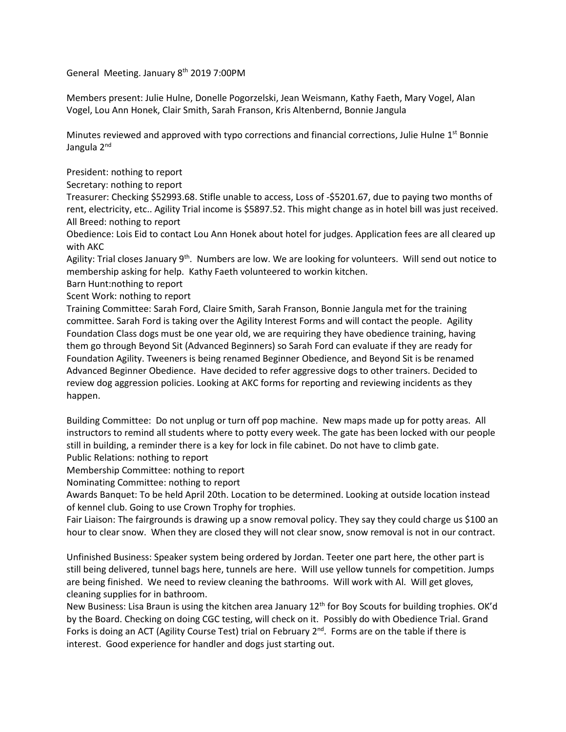General Meeting. January 8<sup>th</sup> 2019 7:00PM

Members present: Julie Hulne, Donelle Pogorzelski, Jean Weismann, Kathy Faeth, Mary Vogel, Alan Vogel, Lou Ann Honek, Clair Smith, Sarah Franson, Kris Altenbernd, Bonnie Jangula

Minutes reviewed and approved with typo corrections and financial corrections, Julie Hulne 1<sup>st</sup> Bonnie Jangula 2<sup>nd</sup>

President: nothing to report

Secretary: nothing to report

Treasurer: Checking \$52993.68. Stifle unable to access, Loss of -\$5201.67, due to paying two months of rent, electricity, etc.. Agility Trial income is \$5897.52. This might change as in hotel bill was just received. All Breed: nothing to report

Obedience: Lois Eid to contact Lou Ann Honek about hotel for judges. Application fees are all cleared up with AKC

Agility: Trial closes January 9<sup>th</sup>. Numbers are low. We are looking for volunteers. Will send out notice to membership asking for help. Kathy Faeth volunteered to workin kitchen.

Barn Hunt:nothing to report

Scent Work: nothing to report

Training Committee: Sarah Ford, Claire Smith, Sarah Franson, Bonnie Jangula met for the training committee. Sarah Ford is taking over the Agility Interest Forms and will contact the people. Agility Foundation Class dogs must be one year old, we are requiring they have obedience training, having them go through Beyond Sit (Advanced Beginners) so Sarah Ford can evaluate if they are ready for Foundation Agility. Tweeners is being renamed Beginner Obedience, and Beyond Sit is be renamed Advanced Beginner Obedience. Have decided to refer aggressive dogs to other trainers. Decided to review dog aggression policies. Looking at AKC forms for reporting and reviewing incidents as they happen.

Building Committee: Do not unplug or turn off pop machine. New maps made up for potty areas. All instructors to remind all students where to potty every week. The gate has been locked with our people still in building, a reminder there is a key for lock in file cabinet. Do not have to climb gate. Public Relations: nothing to report

Membership Committee: nothing to report

Nominating Committee: nothing to report

Awards Banquet: To be held April 20th. Location to be determined. Looking at outside location instead of kennel club. Going to use Crown Trophy for trophies.

Fair Liaison: The fairgrounds is drawing up a snow removal policy. They say they could charge us \$100 an hour to clear snow. When they are closed they will not clear snow, snow removal is not in our contract.

Unfinished Business: Speaker system being ordered by Jordan. Teeter one part here, the other part is still being delivered, tunnel bags here, tunnels are here. Will use yellow tunnels for competition. Jumps are being finished. We need to review cleaning the bathrooms. Will work with Al. Will get gloves, cleaning supplies for in bathroom.

New Business: Lisa Braun is using the kitchen area January 12<sup>th</sup> for Boy Scouts for building trophies. OK'd by the Board. Checking on doing CGC testing, will check on it. Possibly do with Obedience Trial. Grand Forks is doing an ACT (Agility Course Test) trial on February 2<sup>nd</sup>. Forms are on the table if there is interest. Good experience for handler and dogs just starting out.